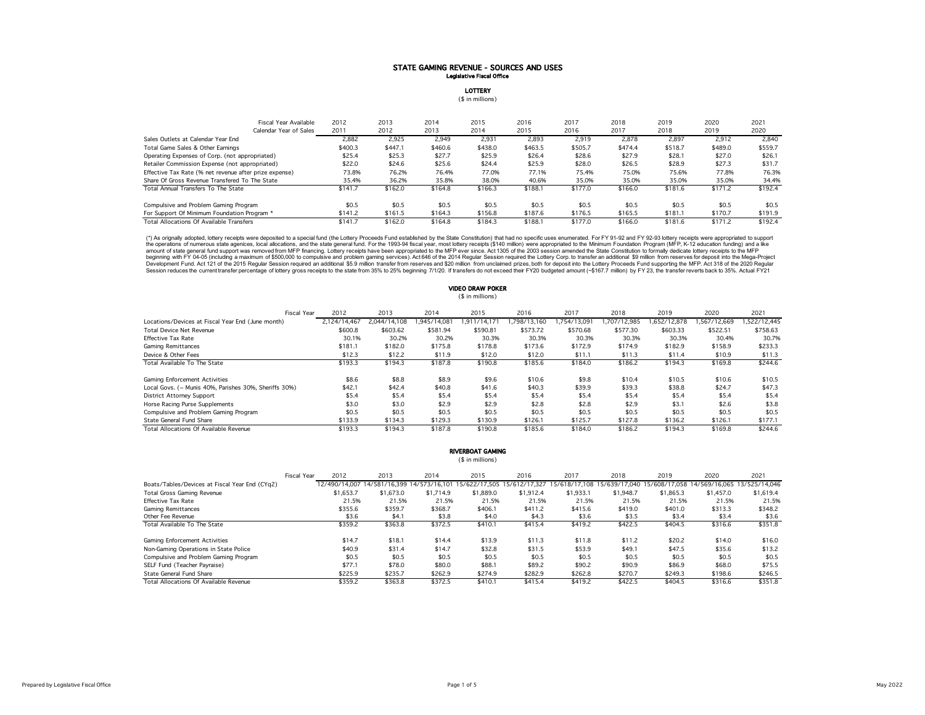LOTTERY

(\$ in millions)

| Fiscal Year Available                                  | 2012    | 2013    | 2014    | 2015    | 2016    | 2017    | 2018    | 2019    | 2020    | 2021    |
|--------------------------------------------------------|---------|---------|---------|---------|---------|---------|---------|---------|---------|---------|
| Calendar Year of Sales                                 | 2011    | 2012    | 2013    | 2014    | 2015    | 2016    | 2017    | 2018    | 2019    | 2020    |
| Sales Outlets at Calendar Year End                     | 2.882   | 2.925   | 2,949   | 2,931   | 2,893   | 2,919   | 2.878   | 2,897   | 2,912   | 2.840   |
| Total Game Sales & Other Earnings                      | \$400.3 | \$447.1 | \$460.6 | \$438.0 | \$463.5 | \$505.7 | \$474.4 | \$518.7 | \$489.0 | \$559.7 |
| Operating Expenses of Corp. (not appropriated)         | \$25.4  | \$25.3  | \$27.7  | \$25.9  | \$26.4  | \$28.6  | \$27.9  | \$28.1  | \$27.0  | \$26.1  |
| Retailer Commission Expense (not appropriated)         | \$22.0  | \$24.6  | \$25.6  | \$24.4  | \$25.9  | \$28.0  | \$26.5  | \$28.9  | \$27.3  | \$31.7  |
| Effective Tax Rate (% net revenue after prize expense) | 73.8%   | 76.2%   | 76.4%   | 77.0%   | 77.1%   | 75.4%   | 75.0%   | 75.6%   | 77.8%   | 76.3%   |
| Share Of Gross Revenue Transfered To The State         | 35.4%   | 36.2%   | 35.8%   | 38.0%   | 40.6%   | 35.0%   | 35.0%   | 35.0%   | 35.0%   | 34.4%   |
| Total Annual Transfers To The State                    | \$141.7 | \$162.0 | \$164.8 | \$166.3 | \$188.1 | \$177.0 | \$166.0 | \$181.6 | \$171.2 | \$192.4 |
| Compulsive and Problem Gaming Program                  | \$0.5   | \$0.5   | \$0.5   | \$0.5   | \$0.5   | \$0.5   | \$0.5   | \$0.5   | \$0.5   | \$0.5   |
| For Support Of Minimum Foundation Program *            | \$141.2 | \$161.5 | \$164.3 | \$156.8 | \$187.6 | \$176.5 | \$165.5 | \$181.1 | \$170.7 | \$191.9 |
| <b>Total Allocations Of Available Transfers</b>        | \$141.7 | \$162.0 | \$164.8 | \$184.3 | \$188.1 | \$177.0 | \$166.0 | \$181.6 | \$171.2 | \$192.4 |

(\*) As orignally adopted, lottery receipts were deposited to a special fund (the Lottery Proceeds Fund established by the State Constitution) that had no specific uses enumerated. For FY 91-92 and FY 92-93 lottery receipts Development Fund. Act 121 of the 2015 Regular Session required an additional \$5.9 million transfer from reserves and \$20 million from unclaimed prizes, both for deposit into the Lottery Proceeds Fund supporting the MFP. Ac Session reduces the current transfer percentage of lottery gross receipts to the state from 35% to 25% beginning 7/1/20. If transfers do not exceed their FY20 budgeted amount (~\$167.7 million) by FY 23, the transfer revert

#### VIDEO DRAW POKER (\$ in millions)

|                                                       | <b>Fiscal Year</b> | 2012         | 2013         | 2014         | 2015             | 2016         | 2017             | 2018        | 2019        | 2020        | 2021        |
|-------------------------------------------------------|--------------------|--------------|--------------|--------------|------------------|--------------|------------------|-------------|-------------|-------------|-------------|
| Locations/Devices at Fiscal Year End (June month)     |                    | 2.124/14.467 | 2,044/14,108 | 1.945/14.081 | .911/<br>/14.171 | 1.798/13.160 | /13.091<br>.754/ | .707/12.985 | .652/12.878 | .567/12.669 | .522/12.445 |
| <b>Total Device Net Revenue</b>                       |                    | \$600.8      | \$603.62     | \$581.94     | \$590.81         | \$573.72     | \$570.68         | \$577.30    | \$603.33    | \$522.51    | \$758.63    |
| <b>Effective Tax Rate</b>                             |                    | 30.1%        | 30.2%        | 30.2%        | 30.3%            | 30.3%        | 30.3%            | 30.3%       | 30.3%       | 30.4%       | 30.7%       |
| <b>Gaming Remittances</b>                             |                    | \$181.1      | \$182.0      | \$175.8      | \$178.8          | \$173.6      | \$172.9          | \$174.9     | \$182.9     | \$158.9     | \$233.3     |
| Device & Other Fees                                   |                    | \$12.3       | \$12.2       | \$11.9       | \$12.0           | \$12.0       | \$11.1           | \$11.3      | \$11.4      | \$10.9      | \$11.3      |
| Total Available To The State                          |                    | \$193.3      | \$194.3      | \$187.8      | \$190.8          | \$185.6      | \$184.0          | \$186.2     | \$194.3     | \$169.8     | \$244.6     |
| <b>Gaming Enforcement Activities</b>                  |                    | \$8.6        | \$8.8        | \$8.9        | \$9.6            | \$10.6       | \$9.8            | \$10.4      | \$10.5      | \$10.6      | \$10.5      |
| Local Govs. (~ Munis 40%, Parishes 30%, Sheriffs 30%) |                    | \$42.1       | \$42.4       | \$40.8       | \$41.6           | \$40.3       | \$39.9           | \$39.3      | \$38.8      | \$24.7      | \$47.3      |
| District Attorney Support                             |                    | \$5.4        | \$5.4        | \$5.4        | \$5.4            | \$5.4        | \$5.4            | \$5.4       | \$5.4       | \$5.4       | \$5.4       |
| Horse Racing Purse Supplements                        |                    | \$3.0        | \$3.0        | \$2.9        | \$2.9            | \$2.8        | \$2.8            | \$2.9       | \$3.1       | \$2.6       | \$3.8       |
| Compulsive and Problem Gaming Program                 |                    | \$0.5        | \$0.5        | \$0.5        | \$0.5            | \$0.5        | \$0.5            | \$0.5       | \$0.5       | \$0.5       | \$0.5       |
| State General Fund Share                              |                    | \$133.9      | \$134.3      | \$129.3      | \$130.9          | \$126.1      | \$125.7          | \$127.8     | \$136.2     | \$126.1     | \$177.1     |
| Total Allocations Of Available Revenue                |                    | \$193.3      | \$194.3      | \$187.8      | \$190.8          | \$185.6      | \$184.0          | \$186.2     | \$194.3     | \$169.8     | \$244.6     |

#### RIVERBOAT GAMING (\$ in millions)

|                                                | <b>Fiscal Year</b> | 2012      | 2013                                      | 2014      | 2015          | 2016          | 2017      | 2018                                      | 2019      | 2020                        | 2021      |
|------------------------------------------------|--------------------|-----------|-------------------------------------------|-----------|---------------|---------------|-----------|-------------------------------------------|-----------|-----------------------------|-----------|
| Boats/Tables/Devices at Fiscal Year End (CYq2) |                    |           | 12/490/14.007 14/581/16.399 14/573/16.101 |           | 15/622/17.505 | 15/612/17.327 |           | 15/618/17.108 15/639/17.040 15/608/17.058 |           | 14/569/16.065 13/525/14.046 |           |
| Total Gross Gaming Revenue                     |                    | \$1,653.7 | \$1,673.0                                 | \$1,714.9 | \$1,889.0     | \$1,912.4     | \$1,933.1 | \$1,948.7                                 | \$1,865.3 | \$1,457.0                   | \$1,619.4 |
| <b>Effective Tax Rate</b>                      |                    | 21.5%     | 21.5%                                     | 21.5%     | 21.5%         | 21.5%         | 21.5%     | 21.5%                                     | 21.5%     | 21.5%                       | 21.5%     |
| <b>Gaming Remittances</b>                      |                    | \$355.6   | \$359.7                                   | \$368.7   | \$406.1       | \$411.2       | \$415.6   | \$419.0                                   | \$401.0   | \$313.3                     | \$348.2   |
| Other Fee Revenue                              |                    | \$3.6     | \$4.1                                     | \$3.8     | \$4.0         | \$4.3         | \$3.6     | \$3.5                                     | \$3.4     | \$3.4                       | \$3.6     |
| Total Available To The State                   |                    | \$359.2   | \$363.8                                   | \$372.5   | \$410.1       | \$415.4       | \$419.2   | \$422.5                                   | \$404.5   | \$316.6                     | \$351.8   |
| Gaming Enforcement Activities                  |                    | \$14.7    | \$18.1                                    | \$14.4    | \$13.9        | \$11.3        | \$11.8    | \$11.2                                    | \$20.2    | \$14.0                      | \$16.0    |
| Non-Gaming Operations in State Police          |                    | \$40.9    | \$31.4                                    | \$14.7    | \$32.8        | \$31.5        | \$53.9    | \$49.1                                    | \$47.5    | \$35.6                      | \$13.2    |
| Compulsive and Problem Gaming Program          |                    | \$0.5     | \$0.5                                     | \$0.5     | \$0.5         | \$0.5         | \$0.5     | \$0.5                                     | \$0.5     | \$0.5                       | \$0.5     |
| SELF Fund (Teacher Payraise)                   |                    | \$77.1    | \$78.0                                    | \$80.0    | \$88.1        | \$89.2        | \$90.2    | \$90.9                                    | \$86.9    | \$68.0                      | \$75.5    |
| State General Fund Share                       |                    | \$225.9   | \$235.7                                   | \$262.9   | \$274.9       | \$282.9       | \$262.8   | \$270.7                                   | \$249.3   | \$198.6                     | \$246.5   |
| Total Allocations Of Available Revenue         |                    | \$359.2   | \$363.8                                   | \$372.5   | \$410.1       | \$415.4       | \$419.2   | \$422.5                                   | \$404.5   | \$316.6                     | \$351.8   |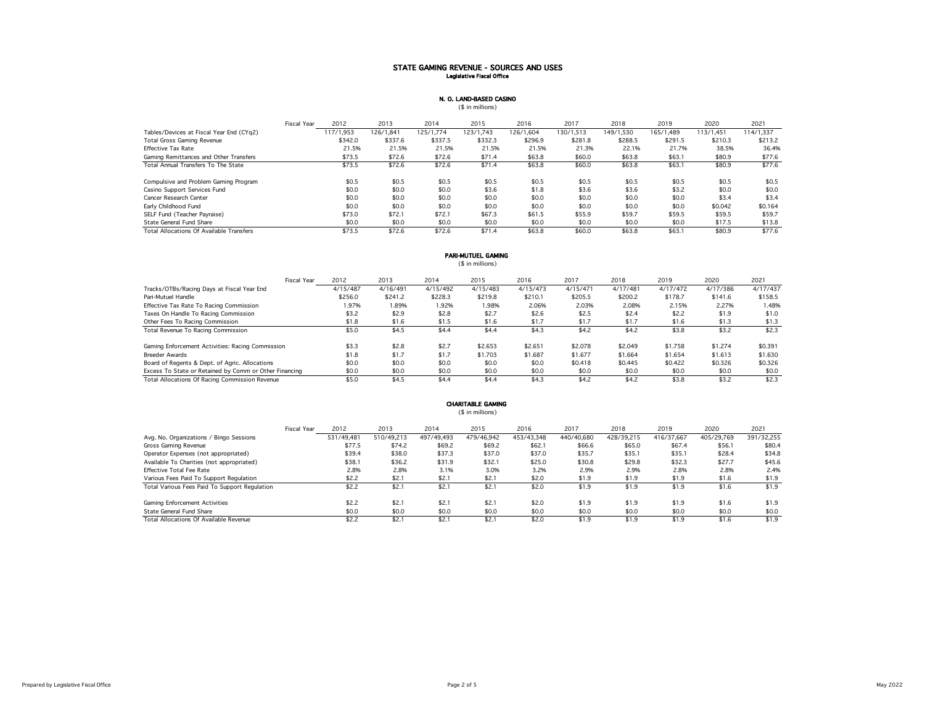# N. O. LAND-BASED CASINO

(\$ in millions)

|                                                 | Fiscal Year | 2012      | 2013      | 2014      | 2015      | 2016      | 2017      | 2018      | 2019      | 2020      | 2021      |
|-------------------------------------------------|-------------|-----------|-----------|-----------|-----------|-----------|-----------|-----------|-----------|-----------|-----------|
| Tables/Devices at Fiscal Year End (CYq2)        |             | 117/1.953 | 126/1.841 | 125/1.774 | 123/1.743 | 126/1.604 | 130/1.513 | 149/1.530 | 165/1.489 | 113/1.451 | 114/1.337 |
| Total Gross Gaming Revenue                      |             | \$342.0   | \$337.6   | \$337.5   | \$332.3   | \$296.9   | \$281.8   | \$288.5   | \$291.5   | \$210.3   | \$213.2   |
| <b>Effective Tax Rate</b>                       |             | 21.5%     | 21.5%     | 21.5%     | 21.5%     | 21.5%     | 21.3%     | 22.1%     | 21.7%     | 38.5%     | 36.4%     |
| Gaming Remittances and Other Transfers          |             | \$73.5    | \$72.6    | \$72.6    | \$71.4    | \$63.8    | \$60.0    | \$63.8    | \$63.1    | \$80.9    | \$77.6    |
| Total Annual Transfers To The State             |             | \$73.5    | \$72.6    | \$72.6    | \$71.4    | \$63.8    | \$60.0    | \$63.8    | \$63.1    | \$80.9    | \$77.6    |
| Compulsive and Problem Gaming Program           |             | \$0.5     | \$0.5     | \$0.5     | \$0.5     | \$0.5     | \$0.5     | \$0.5     | \$0.5     | \$0.5     | \$0.5     |
| Casino Support Services Fund                    |             | \$0.0     | \$0.0     | \$0.0     | \$3.6     | \$1.8     | \$3.6     | \$3.6     | \$3.2     | \$0.0     | \$0.0     |
| Cancer Research Center                          |             | \$0.0     | \$0.0     | \$0.0     | \$0.0     | \$0.0     | \$0.0     | \$0.0     | \$0.0     | \$3.4     | \$3.4     |
| Early Childhood Fund                            |             | \$0.0     | \$0.0     | \$0.0     | \$0.0     | \$0.0     | \$0.0     | \$0.0     | \$0.0     | \$0.042   | \$0.164   |
| SELF Fund (Teacher Pavraise)                    |             | \$73.0    | \$72.1    | \$72.1    | \$67.3    | \$61.5    | \$55.9    | \$59.7    | \$59.5    | \$59.5    | \$59.7    |
| State General Fund Share                        |             | \$0.0     | \$0.0     | \$0.0     | \$0.0     | \$0.0     | \$0.0     | \$0.0     | \$0.0     | \$17.5    | \$13.8    |
| <b>Total Allocations Of Available Transfers</b> |             | \$73.5    | \$72.6    | \$72.6    | \$71.4    | \$63.8    | \$60.0    | \$63.8    | \$63.1    | \$80.9    | \$77.6    |

# PARI-MUTUEL GAMING (\$ in millions)

|                                                        | Fiscal Year | 2012     | 2013     | 2014     | 2015     | 2016     | 2017     | 2018     | 2019     | 2020     | 2021     |
|--------------------------------------------------------|-------------|----------|----------|----------|----------|----------|----------|----------|----------|----------|----------|
| Tracks/OTBs/Racing Days at Fiscal Year End             |             | 4/15/487 | 4/16/491 | 4/15/492 | 4/15/483 | 4/15/473 | 4/15/471 | 4/17/481 | 4/17/472 | 4/17/386 | 4/17/437 |
| Pari-Mutuel Handle                                     |             | \$256.0  | \$241.2  | \$228.3  | \$219.8  | \$210.1  | \$205.5  | \$200.2  | \$178.7  | \$141.6  | \$158.5  |
| Effective Tax Rate To Racing Commission                |             | 1.97%    | 1.89%    | 1.92%    | 1.98%    | 2.06%    | 2.03%    | 2.08%    | 2.15%    | 2.27%    | 1.48%    |
| Taxes On Handle To Racing Commission                   |             | \$3.2    | \$2.9    | \$2.8    | \$2.7    | \$2.6    | \$2.5    | \$2.4    | \$2.2    | \$1.9    | \$1.0    |
| Other Fees To Racing Commission                        |             | \$1.8    | \$1.6    | \$1.5    | \$1.6    | \$1.7    | \$1.7    | \$1.7    | \$1.6    | \$1.3    | \$1.3    |
| Total Revenue To Racing Commission                     |             | \$5.0    | \$4.5    | \$4.4    | \$4.4    | \$4.3    | \$4.2    | \$4.2    | \$3.8    | \$3.2    | \$2.3    |
| Gaming Enforcement Activities: Racing Commission       |             | \$3.3    | \$2.8    | \$2.7    | \$2,653  | \$2.651  | \$2,078  | \$2.049  | \$1,758  | \$1,274  | \$0.391  |
| <b>Breeder Awards</b>                                  |             | \$1.8    | \$1.7    | \$1.7    | \$1,703  | \$1,687  | \$1,677  | \$1,664  | \$1,654  | \$1,613  | \$1,630  |
| Board of Regents & Dept. of Agric. Allocations         |             | \$0.0    | \$0.0    | \$0.0    | \$0.0    | \$0.0    | \$0,418  | \$0,445  | \$0,422  | \$0.326  | \$0,326  |
| Excess To State or Retained by Comm or Other Financing |             | \$0.0    | \$0.0    | \$0.0    | \$0.0    | \$0.0    | \$0.0    | \$0.0    | \$0.0    | \$0.0    | \$0.0    |
| Total Allocations Of Racing Commission Revenue         |             | \$5.0    | \$4.5    | \$4.4    | \$4.4    | \$4.3    | \$4.2    | \$4.2    | \$3.8    | \$3.2    | \$2.3    |

# CHARITABLE GAMING

# (\$ in millions)

|                                               | <b>Fiscal Year</b> | 2012       | 2013       | 2014       | 2015       | 2016       | 2017       | 2018       | 2019       | 2020       | 2021       |
|-----------------------------------------------|--------------------|------------|------------|------------|------------|------------|------------|------------|------------|------------|------------|
| Avg. No. Organizations / Bingo Sessions       |                    | 531/49.481 | 510/49.213 | 497/49.493 | 479/46.942 | 453/43.348 | 440/40.680 | 428/39.215 | 416/37.667 | 405/29.769 | 391/32,255 |
| Gross Gaming Revenue                          |                    | \$77.5     | \$74.2     | \$69.2     | \$69.2     | \$62.1     | \$66.6     | \$65.0     | \$67.4     | \$56.1     | \$80.4     |
| Operator Expenses (not appropriated)          |                    | \$39.4     | \$38.0     | \$37.3     | \$37.0     | \$37.0     | \$35.7     | \$35.1     | \$35.1     | \$28.4     | \$34.8     |
| Available To Charities (not appropriated)     |                    | \$38.1     | \$36.2     | \$31.9     | \$32.1     | \$25.0     | \$30.8     | \$29.8     | \$32.3     | \$27.7     | \$45.6     |
| <b>Effective Total Fee Rate</b>               |                    | 2.8%       | 2.8%       | 3.1%       | 3.0%       | 3.2%       | 2.9%       | 2.9%       | 2.8%       | 2.8%       | 2.4%       |
| Various Fees Paid To Support Regulation       |                    | \$2.2      | \$2.1      | \$2.1      | \$2.1      | \$2.0      | \$1.9      | \$1.9      | \$1.9      | \$1.6      | \$1.9      |
| Total Various Fees Paid To Support Regulation |                    | \$2.2      | \$2.1      | \$2.1      | \$2.1      | \$2.0      | \$1.9      | \$1.9      | \$1.9      | \$1.6      | \$1.9      |
| Gaming Enforcement Activities                 |                    | \$2.2      | \$2.1      | \$2.1      | \$2.1      | \$2.0      | \$1.9      | \$1.9      | \$1.9      | \$1.6      | \$1.9      |
| State General Fund Share                      |                    | \$0.0      | \$0.0      | \$0.0      | \$0.0      | \$0.0      | \$0.0      | \$0.0      | \$0.0      | \$0.0      | \$0.0      |
| Total Allocations Of Available Revenue        |                    | \$2.2      | \$2.1      | \$2.1      | \$2.7      | \$2.0      | \$1.9      | \$1.9      | \$1.9      | \$1.6      | \$1.9      |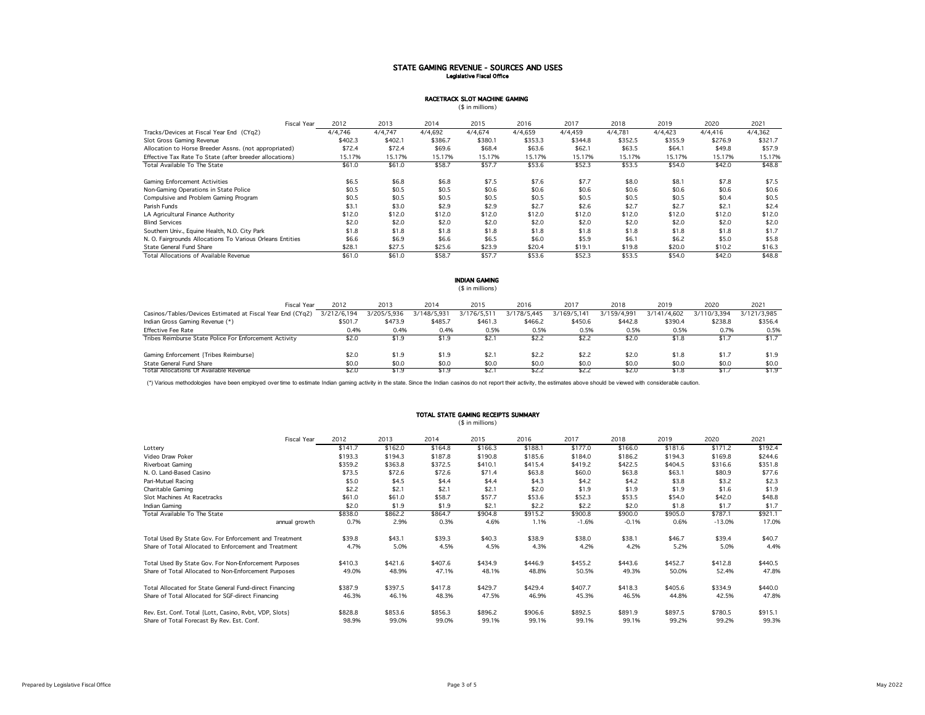# RACETRACK SLOT MACHINE GAMING

(\$ in millions)

| <b>Fiscal Year</b>                                        | 2012    | 2013    | 2014    | 2015    | 2016    | 2017    | 2018    | 2019    | 2020    | 2021    |
|-----------------------------------------------------------|---------|---------|---------|---------|---------|---------|---------|---------|---------|---------|
| Tracks/Devices at Fiscal Year End (CYq2)                  | 4/4.746 | 4/4.747 | 4/4.692 | 4/4.674 | 4/4.659 | 4/4.459 | 4/4.781 | 4/4.423 | 4/4.416 | 4/4,362 |
| Slot Gross Gaming Revenue                                 | \$402.3 | \$402.1 | \$386.7 | \$380.1 | \$353.3 | \$344.8 | \$352.5 | \$355.9 | \$276.9 | \$321.7 |
| Allocation to Horse Breeder Assns. (not appropriated)     | \$72.4  | \$72.4  | \$69.6  | \$68.4  | \$63.6  | \$62.1  | \$63.5  | \$64.1  | \$49.8  | \$57.9  |
| Effective Tax Rate To State (after breeder allocations)   | 15.17%  | 15.17%  | 15.17%  | 15.17%  | 15.17%  | 15.17%  | 15.17%  | 15.17%  | 15.17%  | 15.17%  |
| Total Available To The State                              | \$61.0  | \$61.0  | \$58.7  | \$57.7  | \$53.6  | \$52.3  | \$53.5  | \$54.0  | \$42.0  | \$48.8  |
| Gaming Enforcement Activities                             | \$6.5   | \$6.8   | \$6.8   | \$7.5   | \$7.6   | \$7.7   | \$8.0   | \$8.1   | \$7.8   | \$7.5   |
| Non-Gaming Operations in State Police                     | \$0.5   | \$0.5   | \$0.5   | \$0.6   | \$0.6   | \$0.6   | \$0.6   | \$0.6   | \$0.6   | \$0.6   |
| Compulsive and Problem Gaming Program                     | \$0.5   | \$0.5   | \$0.5   | \$0.5   | \$0.5   | \$0.5   | \$0.5   | \$0.5   | \$0.4   | \$0.5   |
| Parish Funds                                              | \$3.1   | \$3.0   | \$2.9   | \$2.9   | \$2.7   | \$2.6   | \$2.7   | \$2.7   | \$2.1   | \$2.4   |
| LA Agricultural Finance Authority                         | \$12.0  | \$12.0  | \$12.0  | \$12.0  | \$12.0  | \$12.0  | \$12.0  | \$12.0  | \$12.0  | \$12.0  |
| <b>Blind Services</b>                                     | \$2.0   | \$2.0   | \$2.0   | \$2.0   | \$2.0   | \$2.0   | \$2.0   | \$2.0   | \$2.0   | \$2.0   |
| Southern Univ., Equine Health, N.O. City Park             | \$1.8   | \$1.8   | \$1.8   | \$1.8   | \$1.8   | \$1.8   | \$1.8   | \$1.8   | \$1.8   | \$1.7   |
| N. O. Fairgrounds Allocations To Various Orleans Entities | \$6.6   | \$6.9   | \$6.6   | \$6.5   | \$6.0   | \$5.9   | \$6.1   | \$6.2   | \$5.0   | \$5.8   |
| State General Fund Share                                  | \$28.1  | \$27.5  | \$25.6  | \$23.9  | \$20.4  | \$19.1  | \$19.8  | \$20.0  | \$10.2  | \$16.3  |
| Total Allocations of Available Revenue                    | \$61.0  | \$61.0  | \$58.7  | \$57.7  | \$53.6  | \$52.3  | \$53.5  | \$54.0  | \$42.0  | \$48.8  |

# INDIAN GAMING (\$ in millions) Fiscal Year 2012 2013 2014 2015 2016 2017 2018 2019 2020 2021 Casinos/Tables/Devices Estimated at Fiscal Year End (CYq2) 3/212/6,194 3/205/5,936 3/148/5,931 3/176/5,511 3/178/5,445 3/169/5,141 3/159/4,991 3/141/4,602 3/110/3,394 3/121/3,985<br>Indian Gross Gaming Revenue (\*) \$28.8 \$350. Indian Gross Gaming Revenue (\*) Effective Fee Rate 0.4% 0.4% 0.4% 0.5% 0.5% 0.5% 0.5% 0.5% 0.7% 0.5% Tribes Reimburse State Police For Enforcement Activity \$2.0 \$1.9 \$1.9 \$2.1 \$2.2 \$2.2 \$2.0 \$1.8 \$1.7 \$1.7 Gaming Enforcement {Tribes Reimburse} **\$2.0** \$2.0 \$1.9 \$1.9 \$2.1 \$2.2 \$2.2 \$2.0 \$1.8 \$1.7 \$1.9 State General Fund Share \$0.0 \$0.0 \$0.0 \$0.0 \$0.0 \$0.0 \$0.0 \$0.0 \$0.0 \$0.0 Total Allocations Of Available Revenue \$2.0 \$1.9 \$1.9 \$2.1 \$2.2 \$2.2 \$2.0 \$1.8 \$1.7 \$1.9

(\*) Various methodologies have been employed over time to estimate Indian gaming activity in the state. Since the Indian casinos do not report their activity, the estimates above should be viewed with considerable caution.

# TOTAL STATE GAMING RECEIPTS SUMMARY

(\$ in millions)

|                                                         | <b>Fiscal Year</b> | 2012    | 2013    | 2014    | 2015    | 2016    | 2017    | 2018    | 2019    | 2020     | 2021    |
|---------------------------------------------------------|--------------------|---------|---------|---------|---------|---------|---------|---------|---------|----------|---------|
| Lottery                                                 |                    | \$141.7 | \$162.0 | \$164.8 | \$166.3 | \$188.1 | \$177.0 | \$166.0 | \$181.6 | \$171.2  | \$192.4 |
| Video Draw Poker                                        |                    | \$193.3 | \$194.3 | \$187.8 | \$190.8 | \$185.6 | \$184.0 | \$186.2 | \$194.3 | \$169.8  | \$244.6 |
| Riverboat Gaming                                        |                    | \$359.2 | \$363.8 | \$372.5 | \$410.1 | \$415.4 | \$419.2 | \$422.5 | \$404.5 | \$316.6  | \$351.8 |
| N. O. Land-Based Casino                                 |                    | \$73.5  | \$72.6  | \$72.6  | \$71.4  | \$63.8  | \$60.0  | \$63.8  | \$63.1  | \$80.9   | \$77.6  |
| Pari-Mutuel Racing                                      |                    | \$5.0   | \$4.5   | \$4.4   | \$4.4   | \$4.3   | \$4.2   | \$4.2   | \$3.8   | \$3.2    | \$2.3   |
| Charitable Gaming                                       |                    | \$2.2   | \$2.1   | \$2.1   | \$2.1   | \$2.0   | \$1.9   | \$1.9   | \$1.9   | \$1.6    | \$1.9   |
| Slot Machines At Racetracks                             |                    | \$61.0  | \$61.0  | \$58.7  | \$57.7  | \$53.6  | \$52.3  | \$53.5  | \$54.0  | \$42.0   | \$48.8  |
| Indian Gaming                                           |                    | \$2.0   | \$1.9   | \$1.9   | \$2.1   | \$2.2   | \$2.2   | \$2.0   | \$1.8   | \$1.7    | \$1.7   |
| Total Available To The State                            |                    | \$838.0 | \$862.2 | \$864.7 | \$904.8 | \$915.2 | \$900.8 | \$900.0 | \$905.0 | \$787.1  | \$921.1 |
|                                                         | annual growth      | 0.7%    | 2.9%    | 0.3%    | 4.6%    | 1.1%    | $-1.6%$ | $-0.1%$ | 0.6%    | $-13.0%$ | 17.0%   |
| Total Used By State Gov. For Enforcement and Treatment  |                    | \$39.8  | \$43.1  | \$39.3  | \$40.3  | \$38.9  | \$38.0  | \$38.1  | \$46.7  | \$39.4   | \$40.7  |
| Share of Total Allocated to Enforcement and Treatment   |                    | 4.7%    | 5.0%    | 4.5%    | 4.5%    | 4.3%    | 4.2%    | 4.2%    | 5.2%    | 5.0%     | 4.4%    |
| Total Used By State Gov. For Non-Enforcement Purposes   |                    | \$410.3 | \$421.6 | \$407.6 | \$434.9 | \$446.9 | \$455.2 | \$443.6 | \$452.7 | \$412.8  | \$440.5 |
| Share of Total Allocated to Non-Enforcement Purposes    |                    | 49.0%   | 48.9%   | 47.1%   | 48.1%   | 48.8%   | 50.5%   | 49.3%   | 50.0%   | 52.4%    | 47.8%   |
| Total Allocated for State General Fund-direct Financing |                    | \$387.9 | \$397.5 | \$417.8 | \$429.7 | \$429.4 | \$407.7 | \$418.3 | \$405.6 | \$334.9  | \$440.0 |
| Share of Total Allocated for SGF-direct Financing       |                    | 46.3%   | 46.1%   | 48.3%   | 47.5%   | 46.9%   | 45.3%   | 46.5%   | 44.8%   | 42.5%    | 47.8%   |
| Rev. Est. Conf. Total {Lott, Casino, Rvbt, VDP, Slots}  |                    | \$828.8 | \$853.6 | \$856.3 | \$896.2 | \$906.6 | \$892.5 | \$891.9 | \$897.5 | \$780.5  | \$915.1 |
| Share of Total Forecast By Rev. Est. Conf.              |                    | 98.9%   | 99.0%   | 99.0%   | 99.1%   | 99.1%   | 99.1%   | 99.1%   | 99.2%   | 99.2%    | 99.3%   |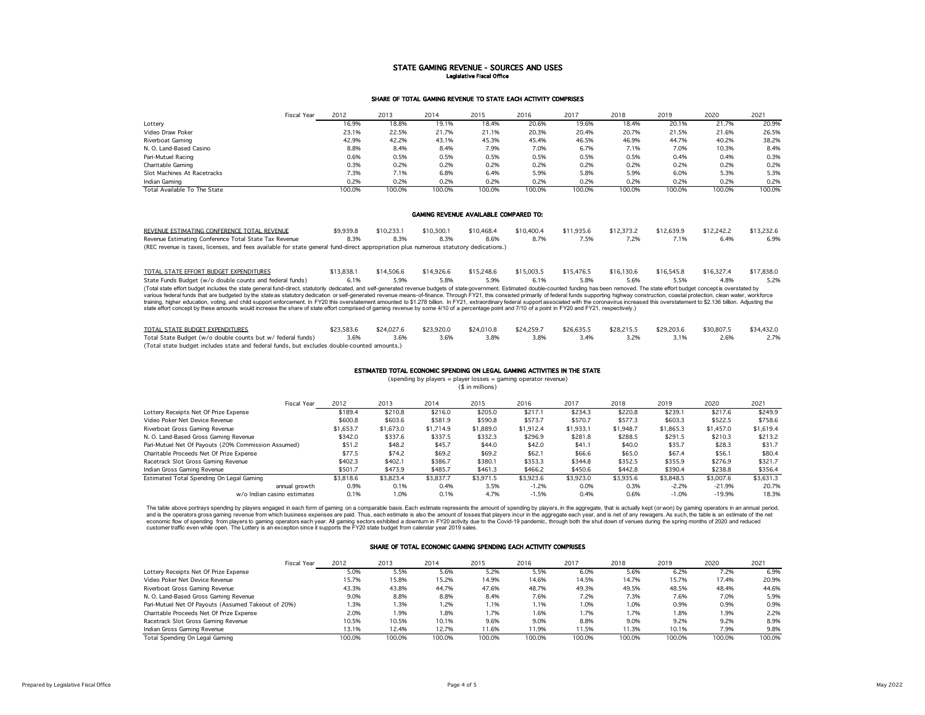#### SHARE OF TOTAL GAMING REVENUE TO STATE EACH ACTIVITY COMPRISES

|                              | <b>Fiscal Year</b> | 2012   | 2013   | 2014   | 2015   | 2016   | 2017   | 2018   | 2019   | 2020   | 2021   |
|------------------------------|--------------------|--------|--------|--------|--------|--------|--------|--------|--------|--------|--------|
| Lottery                      |                    | 16.9%  | 18.8%  | 19.1%  | 18.4%  | 20.6%  | 19.6%  | 18.4%  | 20.1%  | 21.7%  | 20.9%  |
| Video Draw Poker             |                    | 23.1%  | 22.5%  | 21.7%  | 21.1%  | 20.3%  | 20.4%  | 20.7%  | 21.5%  | 21.6%  | 26.5%  |
| Riverboat Gaming             |                    | 42.9%  | 42.2%  | 43.1%  | 45.3%  | 45.4%  | 46.5%  | 46.9%  | 44.7%  | 40.2%  | 38.2%  |
| N. O. Land-Based Casino      |                    | 8.8%   | 8.4%   | 8.4%   | 7.9%   | 7.0%   | 6.7%   | 7.1%   | 7.0%   | 10.3%  | 8.4%   |
| Pari-Mutuel Racing           |                    | 0.6%   | 0.5%   | 0.5%   | 0.5%   | 0.5%   | 0.5%   | 0.5%   | 0.4%   | 0.4%   | 0.3%   |
| Charitable Gaming            |                    | 0.3%   | 0.2%   | 0.2%   | 0.2%   | 0.2%   | 0.2%   | 0.2%   | 0.2%   | 0.2%   | 0.2%   |
| Slot Machines At Racetracks  |                    | 7.3%   | 7.1%   | 6.8%   | 6.4%   | 5.9%   | 5.8%   | 5.9%   | 6.0%   | 5.3%   | 5.3%   |
| Indian Gaming                |                    | 0.2%   | 0.2%   | 0.2%   | 0.2%   | 0.2%   | 0.2%   | 0.2%   | 0.2%   | 0.2%   | 0.2%   |
| Total Available To The State |                    | 100.0% | 100.0% | 100.0% | 100.0% | 100.0% | 100.0% | 100.0% | 100.0% | 100.0% | 100.0% |

#### GAMING REVENUE AVAILABLE COMPARED TO:

| REVENUE ESTIMATING CONFERENCE TOTAL REVENUE                                                                                           | \$9,939.8 | \$10,233.1 | \$10,300.1 | \$10,468.4 | \$10,400.4 | \$11,935.6 | \$12,373.2 | \$12,639.9 | \$12,242.2 | \$13,232.6 |
|---------------------------------------------------------------------------------------------------------------------------------------|-----------|------------|------------|------------|------------|------------|------------|------------|------------|------------|
| Revenue Estimating Conference Total State Tax Revenue                                                                                 | 8.3%      | 8.3%       | 8.3%       | 8.6%       |            |            | 7.2%       |            | 6.4%       | 6.9%       |
| (REC revenue is taxes, licenses, and fees available for state general fund-direct appropriation plus numerous statutory dedications.) |           |            |            |            |            |            |            |            |            |            |

TOTAL STATE EFFORT BUDGET EXPENDITURES \$13,838.1 \$14,506.6 \$14,926.6 \$15,248.6 \$15,003.5 \$15,476.5 \$16,130.6 \$16,545.8 \$16,327.4 \$17,838.0 State Funds Budget (w/o double counts and federal funds) 6.1% 5.9% 5.8% 5.9% 6.1% 5.8% 5.6% 5.5% 4.8% 5.2% (Total state effort budget includes the state general fund-direct, statutorily dedicated, and self-generated revenue budgets of state government. Estimated double-counted funding has been removed. The state effort budget concept is overstated by various federal funds that are budgeted by the state as statutory dedication or self-generated revenue means-of-finance. Through FY21, this consisted primarily of federal funds supporting highway construction, coastal protection, clean water, workforce training, higher education, voting, and child support enforcement. In FY20 this overstatement amounted to \$1.278 billion. In FY21, extraordinary federal support associated with the coronavirus increased this overstatement to \$2.136 billion. Adjusting the state effort concept by these amounts would increase the share of state effort comprised of gaming revenue by some 4/10 of a percentage point and 7/10 of a point in FY20 and FY21, respectively.)

| TOTAL STATE BUDGET EXPENDITURES                                                             | \$23,583.6 | \$24,027.6 | \$23,920.0 | \$24,010.8 | \$24,259.7 | \$26,635.5 | \$28,215.5 | \$29,203.6 | \$30,807.5 | \$34,432.0 |
|---------------------------------------------------------------------------------------------|------------|------------|------------|------------|------------|------------|------------|------------|------------|------------|
| Total State Budget (w/o double counts but w/ federal funds)                                 | 3.6%       | 3.6%       | 3.6%       |            | 3.8%       |            | 3.2%       |            |            | 2.7%       |
| (Total state budget includes state and federal funds, but excludes double-counted amounts.) |            |            |            |            |            |            |            |            |            |            |

### ESTIMATED TOTAL ECONOMIC SPENDING ON LEGAL GAMING ACTIVITIES IN THE STATE

(spending by players = player losses = gaming operator revenue)

(\$ in millions)

| <b>Fiscal Year</b>                                  | 2012      | 2013      | 2014      | 2015      | 2016      | 2017      | 2018      | 2019      | 2020      | 2021      |
|-----------------------------------------------------|-----------|-----------|-----------|-----------|-----------|-----------|-----------|-----------|-----------|-----------|
| Lottery Receipts Net Of Prize Expense               | \$189.4   | \$210.8   | \$216.0   | \$205.0   | \$217.1   | \$234.3   | \$220.8   | \$239.1   | \$217.6   | \$249.9   |
| Video Poker Net Device Revenue                      | \$600.8   | \$603.6   | \$581.9   | \$590.8   | \$573.7   | \$570.7   | \$577.3   | \$603.3   | \$522.5   | \$758.6   |
| Riverboat Gross Gaming Revenue                      | \$1.653.7 | \$1,673.0 | \$1,714.9 | \$1,889.0 | \$1,912.4 | \$1,933.1 | \$1,948.7 | \$1,865.3 | \$1,457.0 | \$1,619.4 |
| N. O. Land-Based Gross Gaming Revenue               | \$342.0   | \$337.6   | \$337.5   | \$332.3   | \$296.9   | \$281.8   | \$288.5   | \$291.5   | \$210.3   | \$213.2   |
| Pari-Mutuel Net Of Payouts (20% Commission Assumed) | \$51.2    | \$48.2    | \$45.7    | \$44.0    | \$42.0    | \$41.1    | \$40.0    | \$35.7    | \$28.3    | \$31.7    |
| Charitable Proceeds Net Of Prize Expense            | \$77.5    | \$74.2    | \$69.2    | \$69.2    | \$62.1    | \$66.6    | \$65.0    | \$67.4    | \$56.1    | \$80.4    |
| Racetrack Slot Gross Gaming Revenue                 | \$402.3   | \$402.1   | \$386.7   | \$380.1   | \$353.3   | \$344.8   | \$352.5   | \$355.9   | \$276.9   | \$321.7   |
| Indian Gross Gaming Revenue                         | \$501.7   | \$473.9   | \$485.7   | \$461.3   | \$466.2   | \$450.6   | \$442.8   | \$390.4   | \$238.8   | \$356.4   |
| Estimated Total Spending On Legal Gaming            | \$3,818.6 | \$3,823.4 | \$3,837.7 | \$3.971.5 | \$3,923.6 | \$3,923.0 | \$3,935.6 | \$3.848.5 | \$3,007.6 | \$3,631.3 |
| annual growth                                       | 0.9%      | 0.1%      | 0.4%      | 3.5%      | $-1.2%$   | 0.0%      | 0.3%      | $-2.2%$   | $-21.9%$  | 20.7%     |
| w/o Indian casino estimates                         | 0.1%      | 1.0%      | 0.1%      | 4.7%      | $-1.5%$   | 0.4%      | 0.6%      | $-1.0%$   | $-19.9%$  | 18.3%     |

The table above portrays spending by players engaged in each form of gaming on a comparable basis. Each estimate represents the amount of spending by players, in the aggregate each year, in the sagregate each year, and is economic flow of spending from players to gaming operators each year. All gaming sectors exhibited a downturn in FY20 activity due to the Covid-19 pandemic, through both the shut down of venues during the spring months of

# SHARE OF TOTAL ECONOMIC GAMING SPENDING EACH ACTIVITY COMPRISES

|                                                     | <b>Fiscal Year</b> | 2012   | 2013   | 2014   | 2015   | 2016   | 2017   | 2018   | 2019   | 2020   | 2021   |
|-----------------------------------------------------|--------------------|--------|--------|--------|--------|--------|--------|--------|--------|--------|--------|
| Lottery Receipts Net Of Prize Expense               |                    | 5.0%   | 5.5%   | 5.6%   | 5.2%   | 5.5%   | 6.0%   | 5.6%   | 6.2%   | 7.2%   | 6.9%   |
| Video Poker Net Device Revenue                      |                    | i 5.7% | 15.8%  | 15.2%  | 14.9%  | 14.6%  | 14.5%  | 14.7%  | 15.7%  | 17.4%  | 20.9%  |
| Riverboat Gross Gaming Revenue                      |                    | 43.3%  | 43.8%  | 44.7%  | 47.6%  | 48.7%  | 49.3%  | 49.5%  | 48.5%  | 48.4%  | 44.6%  |
| N. O. Land-Based Gross Gaming Revenue               |                    | 9.0%   | 8.8%   | 8.8%   | 8.4%   | 7.6%   | 7.2%   | 7.3%   | 7.6%   | 7.0%   | 5.9%   |
| Pari-Mutuel Net Of Payouts (Assumed Takeout of 20%) |                    | 1.3%   | 1.3%   | 1.2%   | 1.1%   | 1.1%   | 1.0%   | 1.0%   | 0.9%   | 0.9%   | 0.9%   |
| Charitable Proceeds Net Of Prize Expense            |                    | 2.0%   | 1.9%   | 1.8%   | 1.7%   | 1.6%   | 1.7%   | 1.7%   | 1.8%   | 1.9%   | 2.2%   |
| Racetrack Slot Gross Gaming Revenue                 |                    | 10.5%  | 10.5%  | 10.1%  | 9.6%   | 9.0%   | 8.8%   | 9.0%   | 9.2%   | 9.2%   | 8.9%   |
| Indian Gross Gaming Revenue                         |                    | 13.1%  | 12.4%  | 12.7%  | 11.6%  | 11.9%  | 11.5%  | 11.3%  | 10.1%  | 7.9%   | 9.8%   |
| Total Spending On Legal Gaming                      |                    | 100.0% | 100.0% | 100.0% | 100.0% | 100.0% | 100.0% | 100.0% | 100.0% | 100.0% | 100.0% |